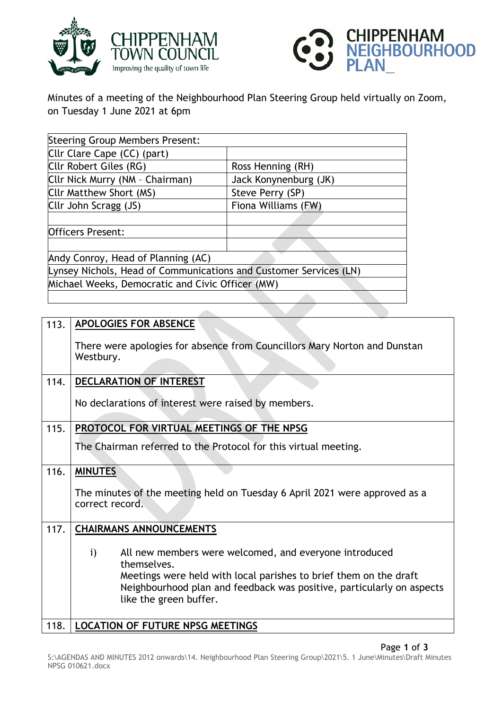



Minutes of a meeting of the Neighbourhood Plan Steering Group held virtually on Zoom, on Tuesday 1 June 2021 at 6pm

| <b>Steering Group Members Present:</b>                            |                       |
|-------------------------------------------------------------------|-----------------------|
| Cllr Clare Cape (CC) (part)                                       |                       |
| Cllr Robert Giles (RG)                                            | Ross Henning (RH)     |
| Cllr Nick Murry (NM - Chairman)                                   | Jack Konynenburg (JK) |
| <b>Cllr Matthew Short (MS)</b>                                    | Steve Perry (SP)      |
| Cllr John Scragg (JS)                                             | Fiona Williams (FW)   |
|                                                                   |                       |
| <b>Officers Present:</b>                                          |                       |
|                                                                   |                       |
| Andy Conroy, Head of Planning (AC)                                |                       |
| Lynsey Nichols, Head of Communications and Customer Services (LN) |                       |
| Michael Weeks, Democratic and Civic Officer (MW)                  |                       |
|                                                                   |                       |

**College** 

| 113. | APOLOGIES FOR ABSENCE                                                                                                                                                                                                                                         |
|------|---------------------------------------------------------------------------------------------------------------------------------------------------------------------------------------------------------------------------------------------------------------|
|      | There were apologies for absence from Councillors Mary Norton and Dunstan<br>Westbury.                                                                                                                                                                        |
| 114. | <b>DECLARATION OF INTEREST</b>                                                                                                                                                                                                                                |
|      | No declarations of interest were raised by members.                                                                                                                                                                                                           |
| 115. | PROTOCOL FOR VIRTUAL MEETINGS OF THE NPSG                                                                                                                                                                                                                     |
|      | The Chairman referred to the Protocol for this virtual meeting.                                                                                                                                                                                               |
| 116. | <b>MINUTES</b>                                                                                                                                                                                                                                                |
|      | The minutes of the meeting held on Tuesday 6 April 2021 were approved as a<br>correct record.                                                                                                                                                                 |
| 117. | <b>CHAIRMANS ANNOUNCEMENTS</b>                                                                                                                                                                                                                                |
|      | $\mathbf{i}$<br>All new members were welcomed, and everyone introduced<br>themselves.<br>Meetings were held with local parishes to brief them on the draft<br>Neighbourhood plan and feedback was positive, particularly on aspects<br>like the green buffer. |
| 118. | <b>LOCATION OF FUTURE NPSG MEETINGS</b>                                                                                                                                                                                                                       |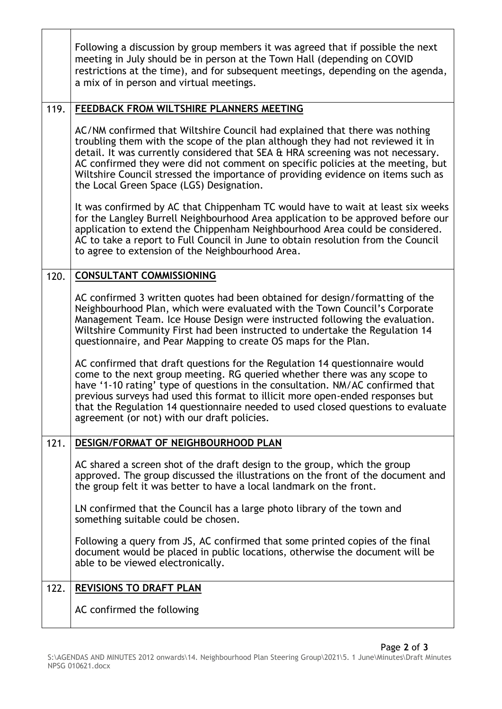|      | Following a discussion by group members it was agreed that if possible the next<br>meeting in July should be in person at the Town Hall (depending on COVID<br>restrictions at the time), and for subsequent meetings, depending on the agenda,<br>a mix of in person and virtual meetings.                                                                                                                                                                         |
|------|---------------------------------------------------------------------------------------------------------------------------------------------------------------------------------------------------------------------------------------------------------------------------------------------------------------------------------------------------------------------------------------------------------------------------------------------------------------------|
| 119. | FEEDBACK FROM WILTSHIRE PLANNERS MEETING                                                                                                                                                                                                                                                                                                                                                                                                                            |
|      | AC/NM confirmed that Wiltshire Council had explained that there was nothing<br>troubling them with the scope of the plan although they had not reviewed it in<br>detail. It was currently considered that SEA & HRA screening was not necessary.<br>AC confirmed they were did not comment on specific policies at the meeting, but<br>Wiltshire Council stressed the importance of providing evidence on items such as<br>the Local Green Space (LGS) Designation. |
|      | It was confirmed by AC that Chippenham TC would have to wait at least six weeks<br>for the Langley Burrell Neighbourhood Area application to be approved before our<br>application to extend the Chippenham Neighbourhood Area could be considered.<br>AC to take a report to Full Council in June to obtain resolution from the Council<br>to agree to extension of the Neighbourhood Area.                                                                        |
| 120. | <b>CONSULTANT COMMISSIONING</b>                                                                                                                                                                                                                                                                                                                                                                                                                                     |
|      | AC confirmed 3 written quotes had been obtained for design/formatting of the<br>Neighbourhood Plan, which were evaluated with the Town Council's Corporate<br>Management Team. Ice House Design were instructed following the evaluation.<br>Wiltshire Community First had been instructed to undertake the Regulation 14<br>questionnaire, and Pear Mapping to create OS maps for the Plan.                                                                        |
|      | AC confirmed that draft questions for the Regulation 14 questionnaire would<br>come to the next group meeting. RG queried whether there was any scope to<br>have '1-10 rating' type of questions in the consultation. NM/AC confirmed that<br>previous surveys had used this format to illicit more open-ended responses but<br>that the Regulation 14 questionnaire needed to used closed questions to evaluate<br>agreement (or not) with our draft policies.     |
| 121. | DESIGN/FORMAT OF NEIGHBOURHOOD PLAN                                                                                                                                                                                                                                                                                                                                                                                                                                 |
|      | AC shared a screen shot of the draft design to the group, which the group<br>approved. The group discussed the illustrations on the front of the document and<br>the group felt it was better to have a local landmark on the front.                                                                                                                                                                                                                                |
|      | LN confirmed that the Council has a large photo library of the town and<br>something suitable could be chosen.                                                                                                                                                                                                                                                                                                                                                      |
|      | Following a query from JS, AC confirmed that some printed copies of the final<br>document would be placed in public locations, otherwise the document will be<br>able to be viewed electronically.                                                                                                                                                                                                                                                                  |
| 122. | <b>REVISIONS TO DRAFT PLAN</b>                                                                                                                                                                                                                                                                                                                                                                                                                                      |
|      | AC confirmed the following                                                                                                                                                                                                                                                                                                                                                                                                                                          |